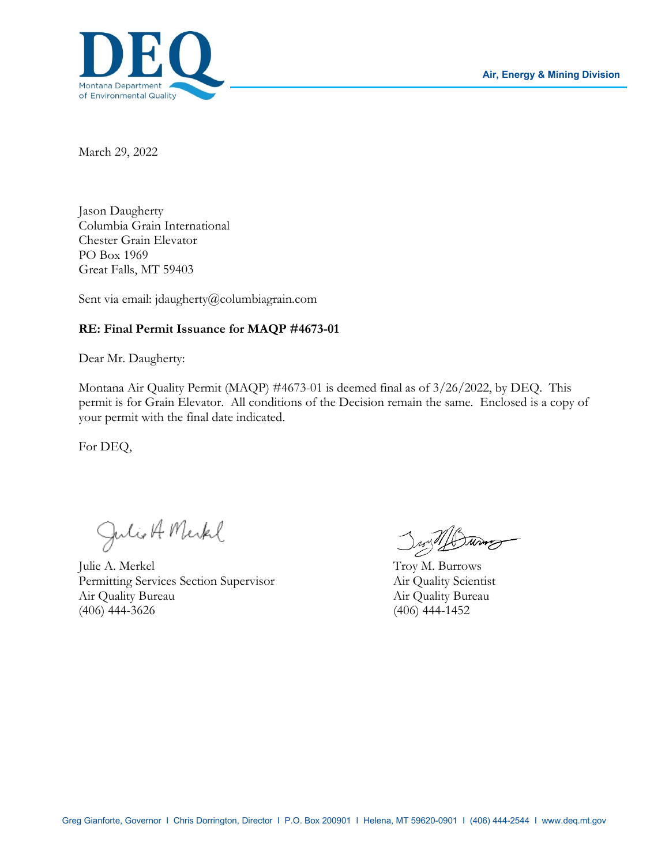

March 29, 2022

Jason Daugherty Columbia Grain International Chester Grain Elevator PO Box 1969 Great Falls, MT 59403

Sent via email: jdaugherty@columbiagrain.com

## **RE: Final Permit Issuance for MAQP #4673-01**

Dear Mr. Daugherty:

Montana Air Quality Permit (MAQP) #4673-01 is deemed final as of 3/26/2022, by DEQ. This permit is for Grain Elevator. All conditions of the Decision remain the same. Enclosed is a copy of your permit with the final date indicated.

For DEQ,

Julio A Merkel

Julie A. Merkel Troy M. Burrows Permitting Services Section Supervisor Air Quality Scientist Air Quality Bureau Air Quality Bureau (406) 444-3626 (406) 444-1452

Jun 11 Suring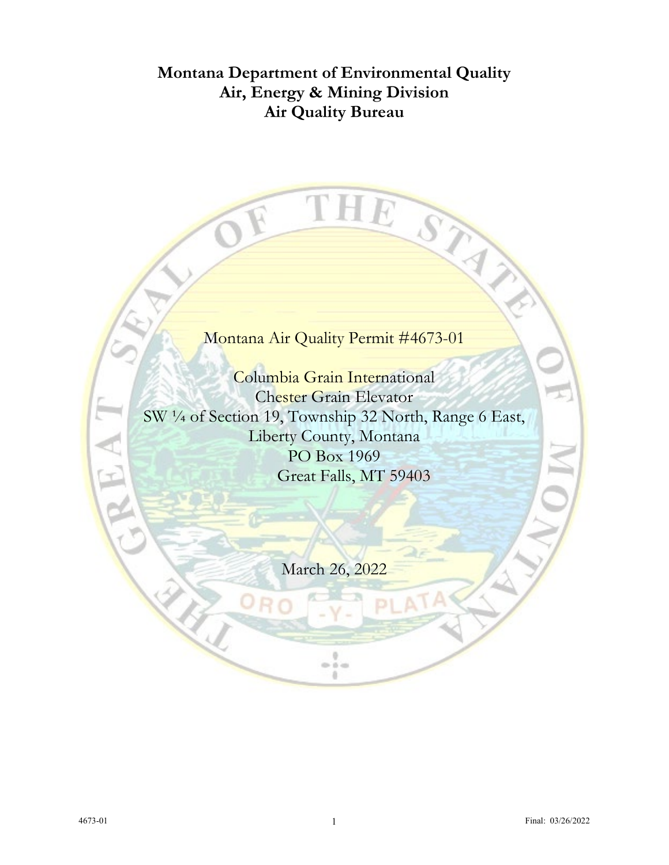# **Montana Department of Environmental Quality Air, Energy & Mining Division Air Quality Bureau**

# Montana Air Quality Permit #4673-01

THE STAY

P)

Columbia Grain International Chester Grain Elevator SW ¼ of Section 19, Township 32 North, Range 6 East, Liberty County, Montana PO Box 1969 Great Falls, MT 59403

March 26, 2022

ÿ.  $0 - 0 = 0$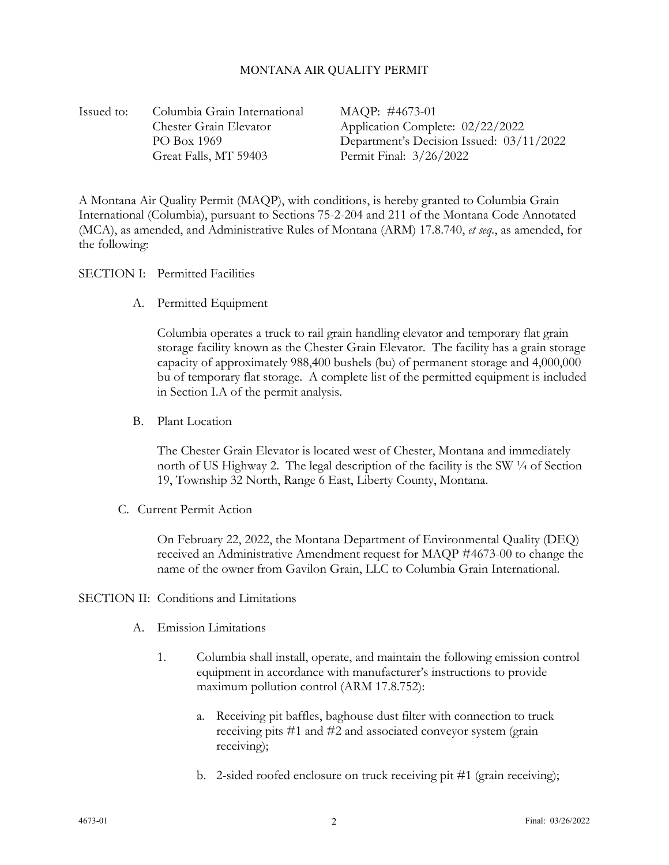## MONTANA AIR QUALITY PERMIT

Issued to: Columbia Grain International Chester Grain Elevator PO Box 1969 Great Falls, MT 59403

MAQP: #4673-01 Application Complete: 02/22/2022 Department's Decision Issued: 03/11/2022 Permit Final: 3/26/2022

A Montana Air Quality Permit (MAQP), with conditions, is hereby granted to Columbia Grain International (Columbia), pursuant to Sections 75-2-204 and 211 of the Montana Code Annotated (MCA), as amended, and Administrative Rules of Montana (ARM) 17.8.740, *et seq.*, as amended, for the following:

#### SECTION I: Permitted Facilities

A. Permitted Equipment

Columbia operates a truck to rail grain handling elevator and temporary flat grain storage facility known as the Chester Grain Elevator. The facility has a grain storage capacity of approximately 988,400 bushels (bu) of permanent storage and 4,000,000 bu of temporary flat storage. A complete list of the permitted equipment is included in Section I.A of the permit analysis.

B. Plant Location

The Chester Grain Elevator is located west of Chester, Montana and immediately north of US Highway 2. The legal description of the facility is the SW  $\frac{1}{4}$  of Section 19, Township 32 North, Range 6 East, Liberty County, Montana.

C. Current Permit Action

On February 22, 2022, the Montana Department of Environmental Quality (DEQ) received an Administrative Amendment request for MAQP #4673-00 to change the name of the owner from Gavilon Grain, LLC to Columbia Grain International.

#### SECTION II: Conditions and Limitations

- A. Emission Limitations
	- 1. Columbia shall install, operate, and maintain the following emission control equipment in accordance with manufacturer's instructions to provide maximum pollution control (ARM 17.8.752):
		- a. Receiving pit baffles, baghouse dust filter with connection to truck receiving pits #1 and #2 and associated conveyor system (grain receiving);
		- b. 2-sided roofed enclosure on truck receiving pit #1 (grain receiving);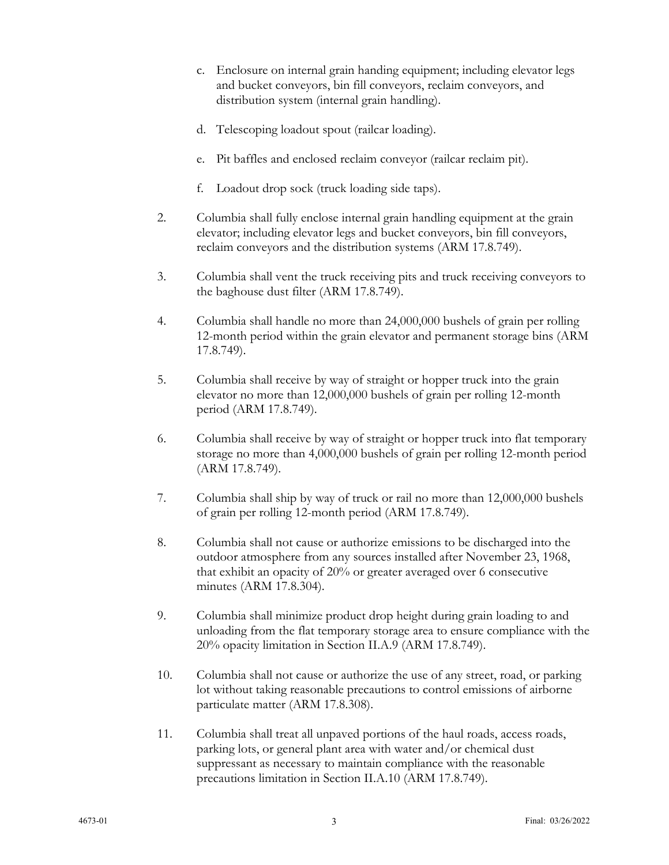- c. Enclosure on internal grain handing equipment; including elevator legs and bucket conveyors, bin fill conveyors, reclaim conveyors, and distribution system (internal grain handling).
- d. Telescoping loadout spout (railcar loading).
- e. Pit baffles and enclosed reclaim conveyor (railcar reclaim pit).
- f. Loadout drop sock (truck loading side taps).
- 2. Columbia shall fully enclose internal grain handling equipment at the grain elevator; including elevator legs and bucket conveyors, bin fill conveyors, reclaim conveyors and the distribution systems (ARM 17.8.749).
- 3. Columbia shall vent the truck receiving pits and truck receiving conveyors to the baghouse dust filter (ARM 17.8.749).
- 4. Columbia shall handle no more than 24,000,000 bushels of grain per rolling 12-month period within the grain elevator and permanent storage bins (ARM 17.8.749).
- 5. Columbia shall receive by way of straight or hopper truck into the grain elevator no more than 12,000,000 bushels of grain per rolling 12-month period (ARM 17.8.749).
- 6. Columbia shall receive by way of straight or hopper truck into flat temporary storage no more than 4,000,000 bushels of grain per rolling 12-month period (ARM 17.8.749).
- 7. Columbia shall ship by way of truck or rail no more than 12,000,000 bushels of grain per rolling 12-month period (ARM 17.8.749).
- 8. Columbia shall not cause or authorize emissions to be discharged into the outdoor atmosphere from any sources installed after November 23, 1968, that exhibit an opacity of 20% or greater averaged over 6 consecutive minutes (ARM 17.8.304).
- 9. Columbia shall minimize product drop height during grain loading to and unloading from the flat temporary storage area to ensure compliance with the 20% opacity limitation in Section II.A.9 (ARM 17.8.749).
- 10. Columbia shall not cause or authorize the use of any street, road, or parking lot without taking reasonable precautions to control emissions of airborne particulate matter (ARM 17.8.308).
- 11. Columbia shall treat all unpaved portions of the haul roads, access roads, parking lots, or general plant area with water and/or chemical dust suppressant as necessary to maintain compliance with the reasonable precautions limitation in Section II.A.10 (ARM 17.8.749).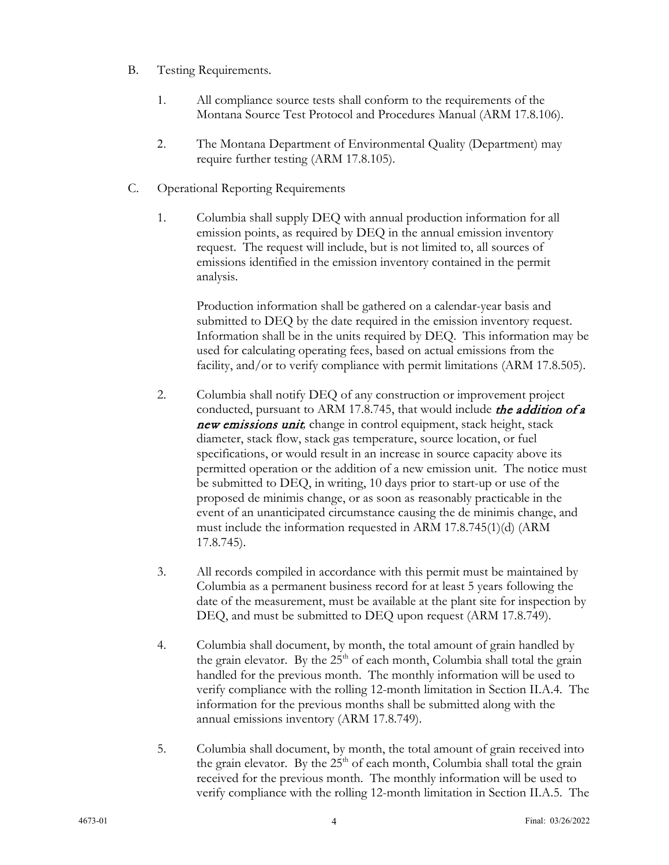- B. Testing Requirements.
	- 1. All compliance source tests shall conform to the requirements of the Montana Source Test Protocol and Procedures Manual (ARM 17.8.106).
	- 2. The Montana Department of Environmental Quality (Department) may require further testing (ARM 17.8.105).
- C. Operational Reporting Requirements
	- 1. Columbia shall supply DEQ with annual production information for all emission points, as required by DEQ in the annual emission inventory request. The request will include, but is not limited to, all sources of emissions identified in the emission inventory contained in the permit analysis.

Production information shall be gathered on a calendar-year basis and submitted to DEQ by the date required in the emission inventory request. Information shall be in the units required by DEQ. This information may be used for calculating operating fees, based on actual emissions from the facility, and/or to verify compliance with permit limitations (ARM 17.8.505).

- 2. Columbia shall notify DEQ of any construction or improvement project conducted, pursuant to ARM 17.8.745, that would include the addition of a new emissions unit*,* change in control equipment, stack height, stack diameter, stack flow, stack gas temperature, source location, or fuel specifications, or would result in an increase in source capacity above its permitted operation or the addition of a new emission unit. The notice must be submitted to DEQ, in writing, 10 days prior to start-up or use of the proposed de minimis change, or as soon as reasonably practicable in the event of an unanticipated circumstance causing the de minimis change, and must include the information requested in ARM 17.8.745(1)(d) (ARM 17.8.745).
- 3. All records compiled in accordance with this permit must be maintained by Columbia as a permanent business record for at least 5 years following the date of the measurement, must be available at the plant site for inspection by DEQ, and must be submitted to DEQ upon request (ARM 17.8.749).
- 4. Columbia shall document, by month, the total amount of grain handled by the grain elevator. By the  $25<sup>th</sup>$  of each month, Columbia shall total the grain handled for the previous month. The monthly information will be used to verify compliance with the rolling 12-month limitation in Section II.A.4. The information for the previous months shall be submitted along with the annual emissions inventory (ARM 17.8.749).
- 5. Columbia shall document, by month, the total amount of grain received into the grain elevator. By the  $25<sup>th</sup>$  of each month, Columbia shall total the grain received for the previous month. The monthly information will be used to verify compliance with the rolling 12-month limitation in Section II.A.5. The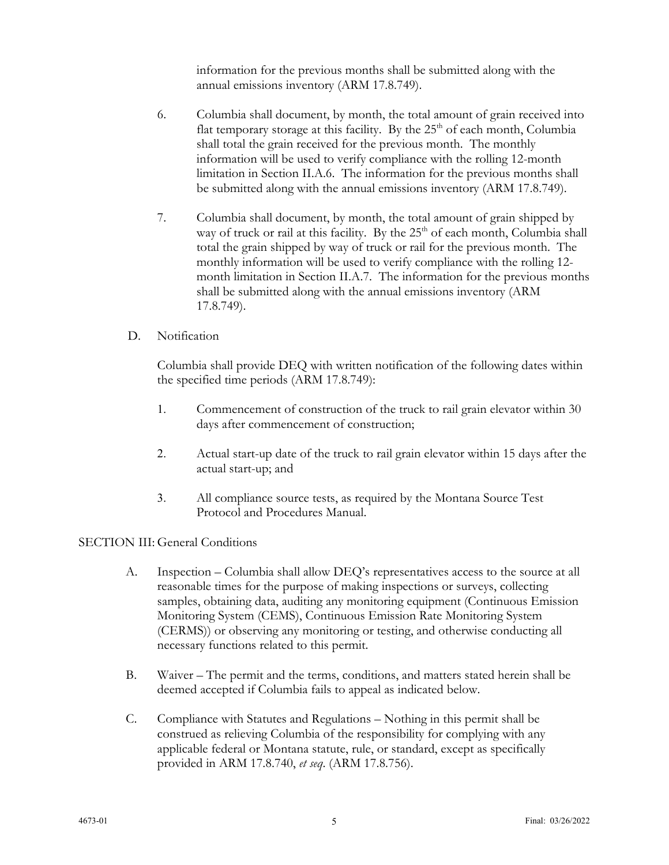information for the previous months shall be submitted along with the annual emissions inventory (ARM 17.8.749).

- 6. Columbia shall document, by month, the total amount of grain received into flat temporary storage at this facility. By the  $25<sup>th</sup>$  of each month, Columbia shall total the grain received for the previous month. The monthly information will be used to verify compliance with the rolling 12-month limitation in Section II.A.6. The information for the previous months shall be submitted along with the annual emissions inventory (ARM 17.8.749).
- 7. Columbia shall document, by month, the total amount of grain shipped by way of truck or rail at this facility. By the  $25<sup>th</sup>$  of each month, Columbia shall total the grain shipped by way of truck or rail for the previous month. The monthly information will be used to verify compliance with the rolling 12 month limitation in Section II.A.7. The information for the previous months shall be submitted along with the annual emissions inventory (ARM 17.8.749).

## D. Notification

Columbia shall provide DEQ with written notification of the following dates within the specified time periods (ARM 17.8.749):

- 1. Commencement of construction of the truck to rail grain elevator within 30 days after commencement of construction;
- 2. Actual start-up date of the truck to rail grain elevator within 15 days after the actual start-up; and
- 3. All compliance source tests, as required by the Montana Source Test Protocol and Procedures Manual.

#### SECTION III: General Conditions

- A. Inspection Columbia shall allow DEQ's representatives access to the source at all reasonable times for the purpose of making inspections or surveys, collecting samples, obtaining data, auditing any monitoring equipment (Continuous Emission Monitoring System (CEMS), Continuous Emission Rate Monitoring System (CERMS)) or observing any monitoring or testing, and otherwise conducting all necessary functions related to this permit.
- B. Waiver The permit and the terms, conditions, and matters stated herein shall be deemed accepted if Columbia fails to appeal as indicated below.
- C. Compliance with Statutes and Regulations Nothing in this permit shall be construed as relieving Columbia of the responsibility for complying with any applicable federal or Montana statute, rule, or standard, except as specifically provided in ARM 17.8.740, *et seq*. (ARM 17.8.756).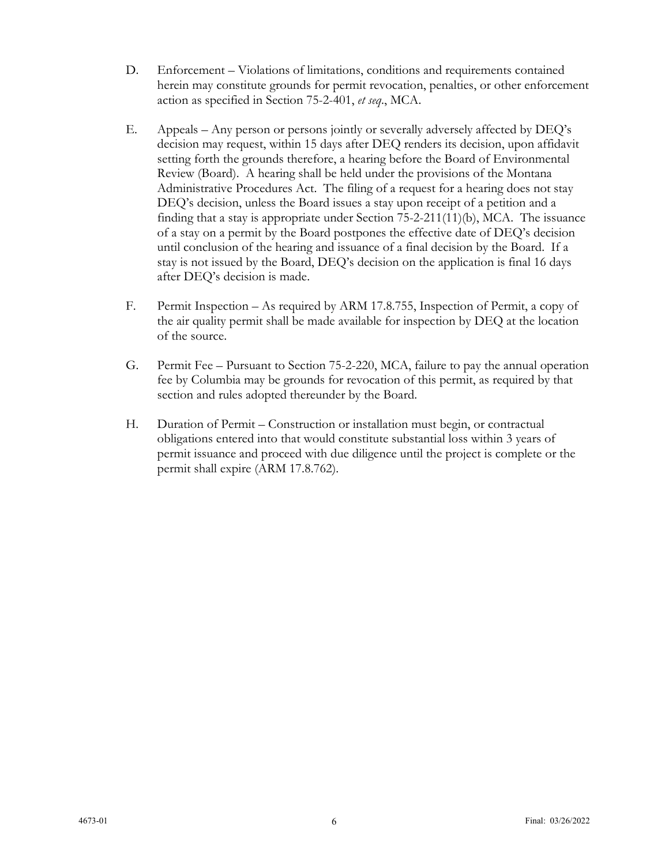- D. Enforcement Violations of limitations, conditions and requirements contained herein may constitute grounds for permit revocation, penalties, or other enforcement action as specified in Section 75-2-401, *et seq*., MCA.
- E. Appeals Any person or persons jointly or severally adversely affected by DEQ's decision may request, within 15 days after DEQ renders its decision, upon affidavit setting forth the grounds therefore, a hearing before the Board of Environmental Review (Board). A hearing shall be held under the provisions of the Montana Administrative Procedures Act. The filing of a request for a hearing does not stay DEQ's decision, unless the Board issues a stay upon receipt of a petition and a finding that a stay is appropriate under Section  $75-2-211(11)(b)$ , MCA. The issuance of a stay on a permit by the Board postpones the effective date of DEQ's decision until conclusion of the hearing and issuance of a final decision by the Board. If a stay is not issued by the Board, DEQ's decision on the application is final 16 days after DEQ's decision is made.
- F. Permit Inspection As required by ARM 17.8.755, Inspection of Permit, a copy of the air quality permit shall be made available for inspection by DEQ at the location of the source.
- G. Permit Fee Pursuant to Section 75-2-220, MCA, failure to pay the annual operation fee by Columbia may be grounds for revocation of this permit, as required by that section and rules adopted thereunder by the Board.
- H. Duration of Permit Construction or installation must begin, or contractual obligations entered into that would constitute substantial loss within 3 years of permit issuance and proceed with due diligence until the project is complete or the permit shall expire (ARM 17.8.762).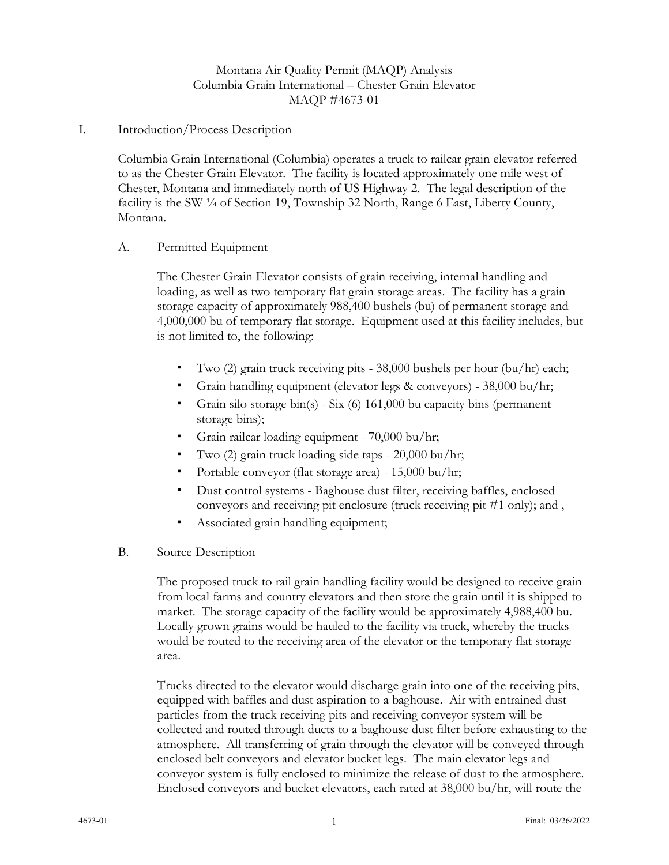# Montana Air Quality Permit (MAQP) Analysis Columbia Grain International – Chester Grain Elevator MAQP #4673-01

## I. Introduction/Process Description

Columbia Grain International (Columbia) operates a truck to railcar grain elevator referred to as the Chester Grain Elevator. The facility is located approximately one mile west of Chester, Montana and immediately north of US Highway 2. The legal description of the facility is the SW ¼ of Section 19, Township 32 North, Range 6 East, Liberty County, Montana.

## A. Permitted Equipment

The Chester Grain Elevator consists of grain receiving, internal handling and loading, as well as two temporary flat grain storage areas. The facility has a grain storage capacity of approximately 988,400 bushels (bu) of permanent storage and 4,000,000 bu of temporary flat storage. Equipment used at this facility includes, but is not limited to, the following:

- ∙ Two (2) grain truck receiving pits 38,000 bushels per hour (bu/hr) each;
- ∙ Grain handling equipment (elevator legs & conveyors) 38,000 bu/hr;
- ∙ Grain silo storage bin(s) Six (6) 161,000 bu capacity bins (permanent storage bins);
- ∙ Grain railcar loading equipment 70,000 bu/hr;
- ∙ Two (2) grain truck loading side taps 20,000 bu/hr;
- ∙ Portable conveyor (flat storage area) 15,000 bu/hr;
- ∙ Dust control systems Baghouse dust filter, receiving baffles, enclosed conveyors and receiving pit enclosure (truck receiving pit #1 only); and ,
- ∙ Associated grain handling equipment;

## B. Source Description

The proposed truck to rail grain handling facility would be designed to receive grain from local farms and country elevators and then store the grain until it is shipped to market. The storage capacity of the facility would be approximately 4,988,400 bu. Locally grown grains would be hauled to the facility via truck, whereby the trucks would be routed to the receiving area of the elevator or the temporary flat storage area.

Trucks directed to the elevator would discharge grain into one of the receiving pits, equipped with baffles and dust aspiration to a baghouse. Air with entrained dust particles from the truck receiving pits and receiving conveyor system will be collected and routed through ducts to a baghouse dust filter before exhausting to the atmosphere. All transferring of grain through the elevator will be conveyed through enclosed belt conveyors and elevator bucket legs. The main elevator legs and conveyor system is fully enclosed to minimize the release of dust to the atmosphere. Enclosed conveyors and bucket elevators, each rated at 38,000 bu/hr, will route the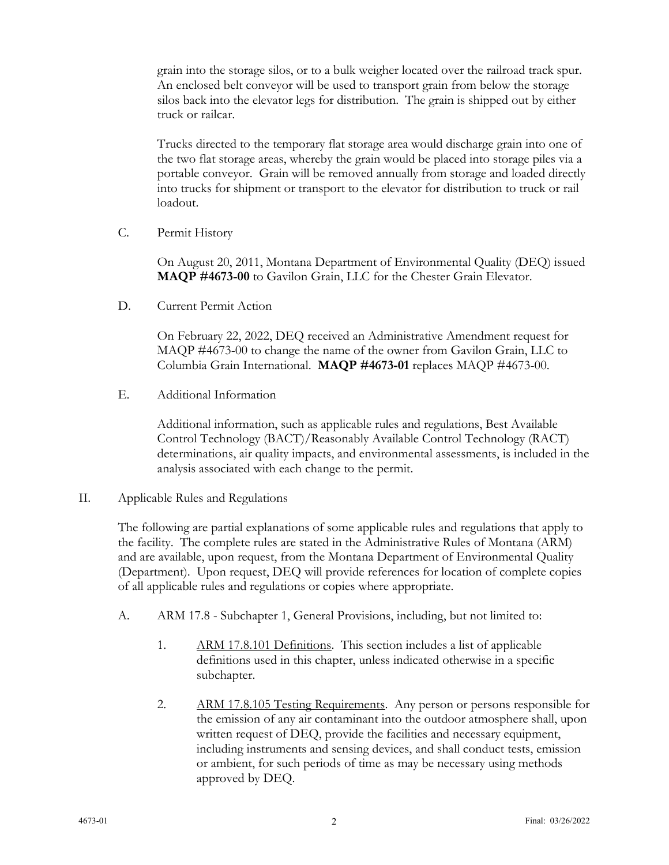grain into the storage silos, or to a bulk weigher located over the railroad track spur. An enclosed belt conveyor will be used to transport grain from below the storage silos back into the elevator legs for distribution. The grain is shipped out by either truck or railcar.

Trucks directed to the temporary flat storage area would discharge grain into one of the two flat storage areas, whereby the grain would be placed into storage piles via a portable conveyor. Grain will be removed annually from storage and loaded directly into trucks for shipment or transport to the elevator for distribution to truck or rail loadout.

C. Permit History

On August 20, 2011, Montana Department of Environmental Quality (DEQ) issued **MAQP #4673-00** to Gavilon Grain, LLC for the Chester Grain Elevator.

D. Current Permit Action

On February 22, 2022, DEQ received an Administrative Amendment request for MAQP #4673-00 to change the name of the owner from Gavilon Grain, LLC to Columbia Grain International. **MAQP #4673-01** replaces MAQP #4673-00.

E. Additional Information

Additional information, such as applicable rules and regulations, Best Available Control Technology (BACT)/Reasonably Available Control Technology (RACT) determinations, air quality impacts, and environmental assessments, is included in the analysis associated with each change to the permit.

II. Applicable Rules and Regulations

The following are partial explanations of some applicable rules and regulations that apply to the facility. The complete rules are stated in the Administrative Rules of Montana (ARM) and are available, upon request, from the Montana Department of Environmental Quality (Department). Upon request, DEQ will provide references for location of complete copies of all applicable rules and regulations or copies where appropriate.

- A. ARM 17.8 Subchapter 1, General Provisions, including, but not limited to:
	- 1. ARM 17.8.101 Definitions. This section includes a list of applicable definitions used in this chapter, unless indicated otherwise in a specific subchapter.
	- 2. ARM 17.8.105 Testing Requirements. Any person or persons responsible for the emission of any air contaminant into the outdoor atmosphere shall, upon written request of DEQ, provide the facilities and necessary equipment, including instruments and sensing devices, and shall conduct tests, emission or ambient, for such periods of time as may be necessary using methods approved by DEQ.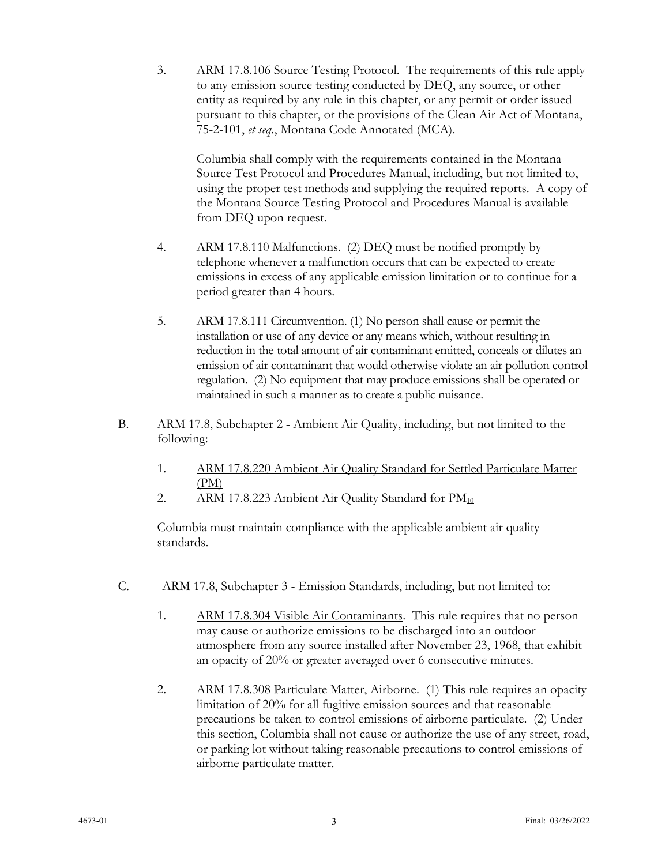3. ARM 17.8.106 Source Testing Protocol. The requirements of this rule apply to any emission source testing conducted by DEQ, any source, or other entity as required by any rule in this chapter, or any permit or order issued pursuant to this chapter, or the provisions of the Clean Air Act of Montana, 75-2-101, *et seq.*, Montana Code Annotated (MCA).

 Columbia shall comply with the requirements contained in the Montana Source Test Protocol and Procedures Manual, including, but not limited to, using the proper test methods and supplying the required reports. A copy of the Montana Source Testing Protocol and Procedures Manual is available from DEQ upon request.

- 4. ARM 17.8.110 Malfunctions. (2) DEQ must be notified promptly by telephone whenever a malfunction occurs that can be expected to create emissions in excess of any applicable emission limitation or to continue for a period greater than 4 hours.
- 5. ARM 17.8.111 Circumvention. (1) No person shall cause or permit the installation or use of any device or any means which, without resulting in reduction in the total amount of air contaminant emitted, conceals or dilutes an emission of air contaminant that would otherwise violate an air pollution control regulation. (2) No equipment that may produce emissions shall be operated or maintained in such a manner as to create a public nuisance.
- B. ARM 17.8, Subchapter 2 Ambient Air Quality, including, but not limited to the following:
	- 1. ARM 17.8.220 Ambient Air Quality Standard for Settled Particulate Matter (PM)
	- 2. ARM 17.8.223 Ambient Air Quality Standard for  $PM_{10}$

Columbia must maintain compliance with the applicable ambient air quality standards.

- C. ARM 17.8, Subchapter 3 Emission Standards, including, but not limited to:
	- 1. ARM 17.8.304 Visible Air Contaminants. This rule requires that no person may cause or authorize emissions to be discharged into an outdoor atmosphere from any source installed after November 23, 1968, that exhibit an opacity of 20% or greater averaged over 6 consecutive minutes.
	- 2. ARM 17.8.308 Particulate Matter, Airborne. (1) This rule requires an opacity limitation of 20% for all fugitive emission sources and that reasonable precautions be taken to control emissions of airborne particulate. (2) Under this section, Columbia shall not cause or authorize the use of any street, road, or parking lot without taking reasonable precautions to control emissions of airborne particulate matter.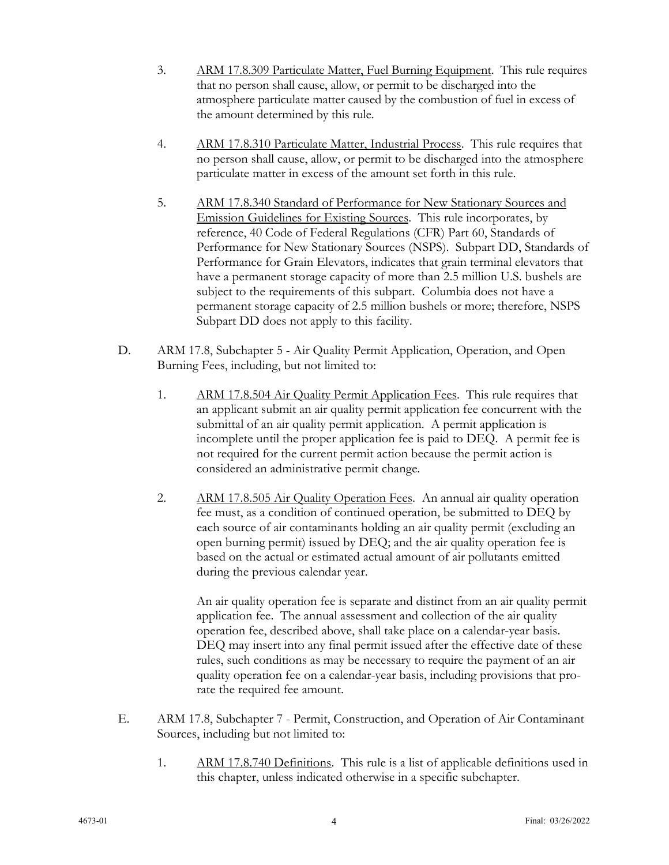- 3. ARM 17.8.309 Particulate Matter, Fuel Burning Equipment. This rule requires that no person shall cause, allow, or permit to be discharged into the atmosphere particulate matter caused by the combustion of fuel in excess of the amount determined by this rule.
- 4. ARM 17.8.310 Particulate Matter, Industrial Process. This rule requires that no person shall cause, allow, or permit to be discharged into the atmosphere particulate matter in excess of the amount set forth in this rule.
- 5. ARM 17.8.340 Standard of Performance for New Stationary Sources and Emission Guidelines for Existing Sources. This rule incorporates, by reference, 40 Code of Federal Regulations (CFR) Part 60, Standards of Performance for New Stationary Sources (NSPS). Subpart DD, Standards of Performance for Grain Elevators, indicates that grain terminal elevators that have a permanent storage capacity of more than 2.5 million U.S. bushels are subject to the requirements of this subpart. Columbia does not have a permanent storage capacity of 2.5 million bushels or more; therefore, NSPS Subpart DD does not apply to this facility.
- D. ARM 17.8, Subchapter 5 Air Quality Permit Application, Operation, and Open Burning Fees, including, but not limited to:
	- 1. ARM 17.8.504 Air Quality Permit Application Fees. This rule requires that an applicant submit an air quality permit application fee concurrent with the submittal of an air quality permit application. A permit application is incomplete until the proper application fee is paid to DEQ. A permit fee is not required for the current permit action because the permit action is considered an administrative permit change.
	- 2. ARM 17.8.505 Air Quality Operation Fees. An annual air quality operation fee must, as a condition of continued operation, be submitted to DEQ by each source of air contaminants holding an air quality permit (excluding an open burning permit) issued by DEQ; and the air quality operation fee is based on the actual or estimated actual amount of air pollutants emitted during the previous calendar year.

An air quality operation fee is separate and distinct from an air quality permit application fee. The annual assessment and collection of the air quality operation fee, described above, shall take place on a calendar-year basis. DEQ may insert into any final permit issued after the effective date of these rules, such conditions as may be necessary to require the payment of an air quality operation fee on a calendar-year basis, including provisions that prorate the required fee amount.

- E. ARM 17.8, Subchapter 7 Permit, Construction, and Operation of Air Contaminant Sources, including but not limited to:
	- 1. ARM 17.8.740 Definitions. This rule is a list of applicable definitions used in this chapter, unless indicated otherwise in a specific subchapter.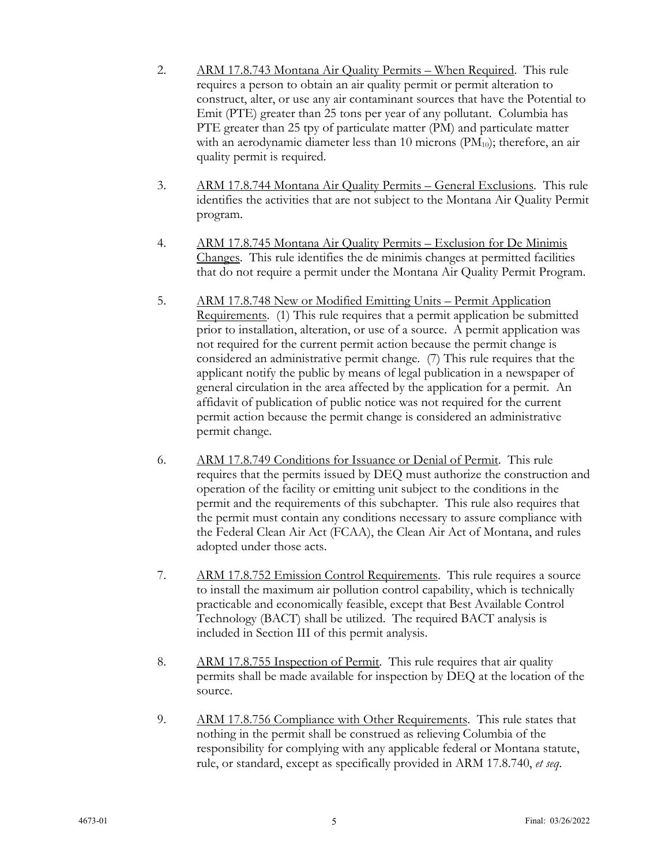- 2. ARM 17.8.743 Montana Air Quality Permits When Required. This rule requires a person to obtain an air quality permit or permit alteration to construct, alter, or use any air contaminant sources that have the Potential to Emit (PTE) greater than 25 tons per year of any pollutant. Columbia has PTE greater than 25 tpy of particulate matter (PM) and particulate matter with an aerodynamic diameter less than 10 microns  $(PM_{10})$ ; therefore, an air quality permit is required.
- 3. ARM 17.8.744 Montana Air Quality Permits General Exclusions. This rule identifies the activities that are not subject to the Montana Air Quality Permit program.
- 4. ARM 17.8.745 Montana Air Quality Permits Exclusion for De Minimis Changes. This rule identifies the de minimis changes at permitted facilities that do not require a permit under the Montana Air Quality Permit Program.
- 5. ARM 17.8.748 New or Modified Emitting Units Permit Application Requirements. (1) This rule requires that a permit application be submitted prior to installation, alteration, or use of a source. A permit application was not required for the current permit action because the permit change is considered an administrative permit change. (7) This rule requires that the applicant notify the public by means of legal publication in a newspaper of general circulation in the area affected by the application for a permit. An affidavit of publication of public notice was not required for the current permit action because the permit change is considered an administrative permit change.
- 6. ARM 17.8.749 Conditions for Issuance or Denial of Permit. This rule requires that the permits issued by DEQ must authorize the construction and operation of the facility or emitting unit subject to the conditions in the permit and the requirements of this subchapter. This rule also requires that the permit must contain any conditions necessary to assure compliance with the Federal Clean Air Act (FCAA), the Clean Air Act of Montana, and rules adopted under those acts.
- 7. ARM 17.8.752 Emission Control Requirements. This rule requires a source to install the maximum air pollution control capability, which is technically practicable and economically feasible, except that Best Available Control Technology (BACT) shall be utilized. The required BACT analysis is included in Section III of this permit analysis.
- 8. ARM 17.8.755 Inspection of Permit. This rule requires that air quality permits shall be made available for inspection by DEQ at the location of the source.
- 9. ARM 17.8.756 Compliance with Other Requirements. This rule states that nothing in the permit shall be construed as relieving Columbia of the responsibility for complying with any applicable federal or Montana statute, rule, or standard, except as specifically provided in ARM 17.8.740, *et seq*.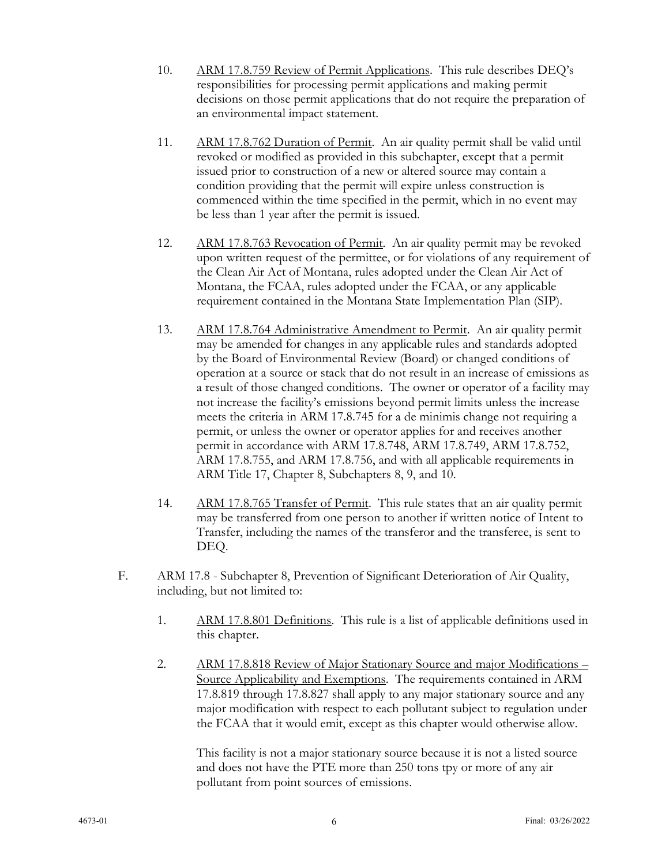- 10. ARM 17.8.759 Review of Permit Applications. This rule describes DEQ's responsibilities for processing permit applications and making permit decisions on those permit applications that do not require the preparation of an environmental impact statement.
- 11. ARM 17.8.762 Duration of Permit. An air quality permit shall be valid until revoked or modified as provided in this subchapter, except that a permit issued prior to construction of a new or altered source may contain a condition providing that the permit will expire unless construction is commenced within the time specified in the permit, which in no event may be less than 1 year after the permit is issued.
- 12. ARM 17.8.763 Revocation of Permit. An air quality permit may be revoked upon written request of the permittee, or for violations of any requirement of the Clean Air Act of Montana, rules adopted under the Clean Air Act of Montana, the FCAA, rules adopted under the FCAA, or any applicable requirement contained in the Montana State Implementation Plan (SIP).
- 13. ARM 17.8.764 Administrative Amendment to Permit. An air quality permit may be amended for changes in any applicable rules and standards adopted by the Board of Environmental Review (Board) or changed conditions of operation at a source or stack that do not result in an increase of emissions as a result of those changed conditions. The owner or operator of a facility may not increase the facility's emissions beyond permit limits unless the increase meets the criteria in ARM 17.8.745 for a de minimis change not requiring a permit, or unless the owner or operator applies for and receives another permit in accordance with ARM 17.8.748, ARM 17.8.749, ARM 17.8.752, ARM 17.8.755, and ARM 17.8.756, and with all applicable requirements in ARM Title 17, Chapter 8, Subchapters 8, 9, and 10.
- 14. ARM 17.8.765 Transfer of Permit. This rule states that an air quality permit may be transferred from one person to another if written notice of Intent to Transfer, including the names of the transferor and the transferee, is sent to DEQ.
- F. ARM 17.8 Subchapter 8, Prevention of Significant Deterioration of Air Quality, including, but not limited to:
	- 1. ARM 17.8.801 Definitions. This rule is a list of applicable definitions used in this chapter.
	- 2. ARM 17.8.818 Review of Major Stationary Source and major Modifications Source Applicability and Exemptions. The requirements contained in ARM 17.8.819 through 17.8.827 shall apply to any major stationary source and any major modification with respect to each pollutant subject to regulation under the FCAA that it would emit, except as this chapter would otherwise allow.

This facility is not a major stationary source because it is not a listed source and does not have the PTE more than 250 tons tpy or more of any air pollutant from point sources of emissions.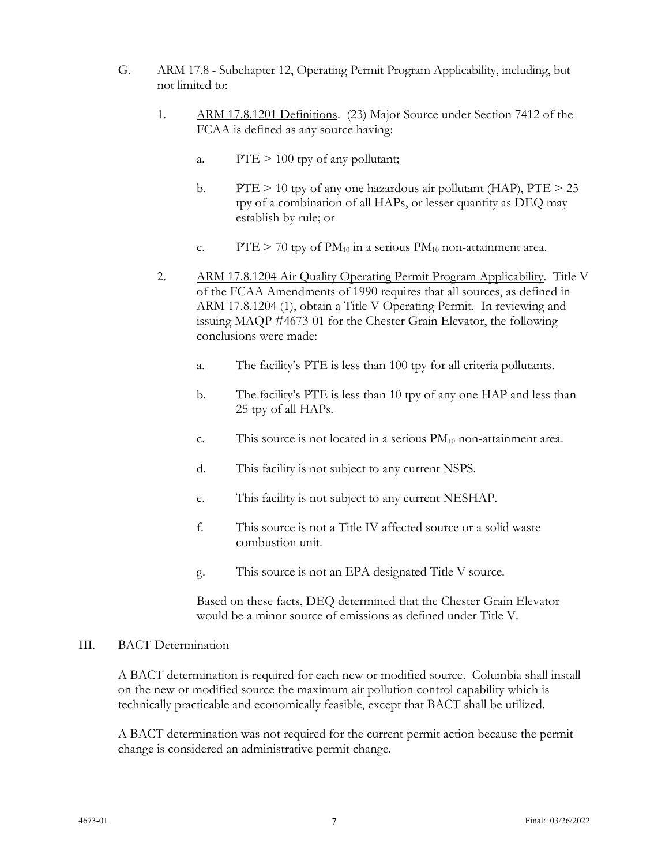- G. ARM 17.8 Subchapter 12, Operating Permit Program Applicability, including, but not limited to:
	- 1. ARM 17.8.1201 Definitions. (23) Major Source under Section 7412 of the FCAA is defined as any source having:
		- a.  $PTE > 100$  tpy of any pollutant;
		- b. PTE  $> 10$  tpy of any one hazardous air pollutant (HAP), PTE  $> 25$ tpy of a combination of all HAPs, or lesser quantity as DEQ may establish by rule; or
		- c. PTE  $> 70$  tpy of PM<sub>10</sub> in a serious PM<sub>10</sub> non-attainment area.
	- 2. ARM 17.8.1204 Air Quality Operating Permit Program Applicability. Title V of the FCAA Amendments of 1990 requires that all sources, as defined in ARM 17.8.1204 (1), obtain a Title V Operating Permit. In reviewing and issuing MAQP #4673-01 for the Chester Grain Elevator, the following conclusions were made:
		- a. The facility's PTE is less than 100 tpy for all criteria pollutants.
		- b. The facility's PTE is less than 10 tpy of any one HAP and less than 25 tpy of all HAPs.
		- c. This source is not located in a serious  $PM_{10}$  non-attainment area.
		- d. This facility is not subject to any current NSPS.
		- e. This facility is not subject to any current NESHAP.
		- f. This source is not a Title IV affected source or a solid waste combustion unit.
		- g. This source is not an EPA designated Title V source.

Based on these facts, DEQ determined that the Chester Grain Elevator would be a minor source of emissions as defined under Title V.

#### III. BACT Determination

A BACT determination is required for each new or modified source. Columbia shall install on the new or modified source the maximum air pollution control capability which is technically practicable and economically feasible, except that BACT shall be utilized.

A BACT determination was not required for the current permit action because the permit change is considered an administrative permit change.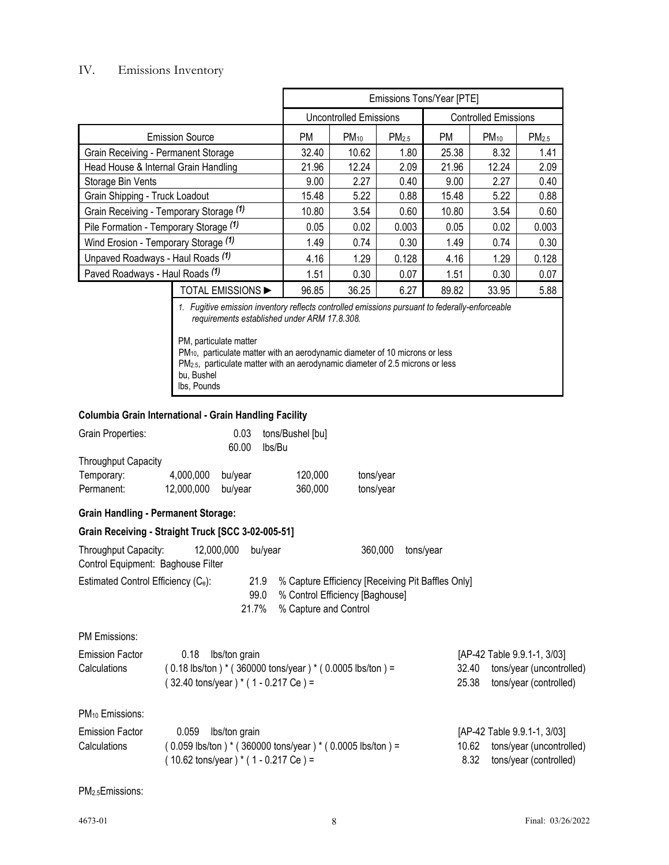#### IV. Emissions Inventory

|                                         | Emissions Tons/Year [PTE] |                                                              |           |                   |       |           |                   |
|-----------------------------------------|---------------------------|--------------------------------------------------------------|-----------|-------------------|-------|-----------|-------------------|
|                                         |                           | <b>Uncontrolled Emissions</b><br><b>Controlled Emissions</b> |           |                   |       |           |                   |
|                                         | <b>Emission Source</b>    | PM                                                           | $PM_{10}$ | PM <sub>2.5</sub> | PM    | $PM_{10}$ | PM <sub>2.5</sub> |
| Grain Receiving - Permanent Storage     |                           | 32.40                                                        | 10.62     | 1.80              | 25.38 | 8.32      | 1.41              |
| Head House & Internal Grain Handling    |                           | 21.96                                                        | 12.24     | 2.09              | 21.96 | 12.24     | 2.09              |
| Storage Bin Vents                       |                           | 9.00                                                         | 2.27      | 0.40              | 9.00  | 2.27      | 0.40              |
| Grain Shipping - Truck Loadout          |                           | 15.48                                                        | 5.22      | 0.88              | 15.48 | 5.22      | 0.88              |
| Grain Receiving - Temporary Storage (1) |                           | 10.80                                                        | 3.54      | 0.60              | 10.80 | 3.54      | 0.60              |
| Pile Formation - Temporary Storage (1)  |                           | 0.05                                                         | 0.02      | 0.003             | 0.05  | 0.02      | 0.003             |
| Wind Erosion - Temporary Storage (1)    |                           | 1.49                                                         | 0.74      | 0.30              | 1.49  | 0.74      | 0.30              |
| Unpaved Roadways - Haul Roads (1)       |                           | 4.16                                                         | 1.29      | 0.128             | 4.16  | 1.29      | 0.128             |
| Paved Roadways - Haul Roads (1)         |                           | 1.51                                                         | 0.30      | 0.07              | 1.51  | 0.30      | 0.07              |
|                                         | <b>TOTAL EMISSIONS ▶</b>  | 96.85                                                        | 36.25     | 6.27              | 89.82 | 33.95     | 5.88              |

*1. Fugitive emission inventory reflects controlled emissions pursuant to federally-enforceable requirements established under ARM 17.8.308.*

PM, particulate matter

PM10, particulate matter with an aerodynamic diameter of 10 microns or less PM2.5, particulate matter with an aerodynamic diameter of 2.5 microns or less bu, Bushel lbs, Pounds

#### **Columbia Grain International - Grain Handling Facility**

| Grain Properties:                                          |            | 0.03<br>60.00 | lbs/Bu                          | tons/Bushel [bu] |                                                   |           |
|------------------------------------------------------------|------------|---------------|---------------------------------|------------------|---------------------------------------------------|-----------|
| <b>Throughput Capacity</b>                                 |            |               |                                 |                  |                                                   |           |
| Temporary:                                                 | 4,000,000  | bu/year       |                                 | 120,000          | tons/year                                         |           |
| Permanent:                                                 | 12,000,000 | bu/year       |                                 | 360,000          | tons/year                                         |           |
| Grain Handling - Permanent Storage:                        |            |               |                                 |                  |                                                   |           |
| Grain Receiving - Straight Truck [SCC 3-02-005-51]         |            |               |                                 |                  |                                                   |           |
| Throughput Capacity:<br>Control Equipment: Baghouse Filter |            | 12,000,000    | bu/year                         |                  | 360,000                                           | tons/year |
| Estimated Control Efficiency (Ce):                         |            | 21.9<br>99.0  | % Control Efficiency [Baghouse] |                  | % Capture Efficiency [Receiving Pit Baffles Only] |           |

21.7% % Capture and Control

#### PM Emissions:

| <b>Emission Factor</b> | 0.18 lbs/ton grain                                                  | [AP-42 Table 9.9.1-1, 3/03]    |  |
|------------------------|---------------------------------------------------------------------|--------------------------------|--|
| Calculations           | $(0.18$ lbs/ton $)^*$ (360000 tons/year $)^*$ (0.0005 lbs/ton $) =$ | 32.40 tons/year (uncontrolled) |  |
|                        | $(32.40 \text{ tons/year})$ * $(1 - 0.217 \text{ Ce}) =$            | 25.38 tons/year (controlled)   |  |

PM10 Emissions:

| <b>Emission Factor</b> | 0.059 lbs/ton grain                                              | [AP-42 Table 9.9.1-1, 3/03]    |
|------------------------|------------------------------------------------------------------|--------------------------------|
| Calculations           | $(0.059$ lbs/ton $)$ * (360000 tons/year ) * (0.0005 lbs/ton ) = | 10.62 tons/year (uncontrolled) |
|                        | $(10.62 \text{ tons/year})$ * $(1 - 0.217 \text{ Ce}) =$         | 8.32 tons/year (controlled)    |

#### PM2.5Emissions: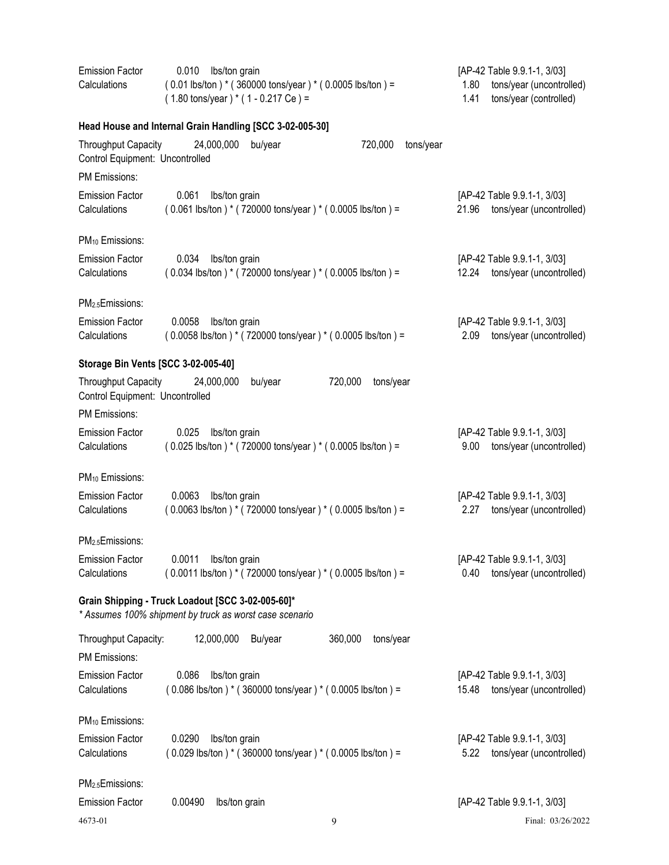| <b>Emission Factor</b><br>Calculations                        | 0.010<br>Ibs/ton grain<br>$(0.01$ lbs/ton $)$ * (360000 tons/year $)$ * (0.0005 lbs/ton $)$ =<br>$(1.80 \text{ tons/year})$ * $(1 - 0.217 \text{ Ce}) =$ | [AP-42 Table 9.9.1-1, 3/03]<br>tons/year (uncontrolled)<br>1.80<br>1.41<br>tons/year (controlled) |
|---------------------------------------------------------------|----------------------------------------------------------------------------------------------------------------------------------------------------------|---------------------------------------------------------------------------------------------------|
|                                                               | Head House and Internal Grain Handling [SCC 3-02-005-30]                                                                                                 |                                                                                                   |
| <b>Throughput Capacity</b><br>Control Equipment: Uncontrolled | 24,000,000<br>720,000<br>tons/year<br>bu/year                                                                                                            |                                                                                                   |
| PM Emissions:                                                 |                                                                                                                                                          |                                                                                                   |
| <b>Emission Factor</b><br>Calculations                        | 0.061<br>Ibs/ton grain<br>$(0.061$ lbs/ton $)$ * (720000 tons/year $)$ * (0.0005 lbs/ton $)$ =                                                           | [AP-42 Table 9.9.1-1, 3/03]<br>tons/year (uncontrolled)<br>21.96                                  |
| PM <sub>10</sub> Emissions:                                   |                                                                                                                                                          |                                                                                                   |
| <b>Emission Factor</b><br>Calculations                        | 0.034<br>Ibs/ton grain<br>$(0.034$ lbs/ton $)$ * (720000 tons/year $)$ * (0.0005 lbs/ton $)$ =                                                           | [AP-42 Table 9.9.1-1, 3/03]<br>tons/year (uncontrolled)<br>12.24                                  |
| PM <sub>2.5</sub> Emissions:                                  |                                                                                                                                                          |                                                                                                   |
| <b>Emission Factor</b><br>Calculations                        | 0.0058<br>Ibs/ton grain<br>$(0.0058$ lbs/ton $)$ * (720000 tons/year $)$ * (0.0005 lbs/ton $)$ =                                                         | [AP-42 Table 9.9.1-1, 3/03]<br>2.09<br>tons/year (uncontrolled)                                   |
| <b>Storage Bin Vents [SCC 3-02-005-40]</b>                    |                                                                                                                                                          |                                                                                                   |
| <b>Throughput Capacity</b><br>Control Equipment: Uncontrolled | 24,000,000<br>720,000<br>bu/year<br>tons/year                                                                                                            |                                                                                                   |
| PM Emissions:                                                 |                                                                                                                                                          |                                                                                                   |
| <b>Emission Factor</b><br>Calculations                        | 0.025<br>Ibs/ton grain<br>(0.025 lbs/ton) * (720000 tons/year) * (0.0005 lbs/ton) =                                                                      | [AP-42 Table 9.9.1-1, 3/03]<br>tons/year (uncontrolled)<br>9.00                                   |
| PM <sub>10</sub> Emissions:                                   |                                                                                                                                                          |                                                                                                   |
| <b>Emission Factor</b><br>Calculations                        | 0.0063<br>Ibs/ton grain<br>$(0.0063$ lbs/ton $)$ * (720000 tons/year $)$ * (0.0005 lbs/ton $)$ =                                                         | [AP-42 Table 9.9.1-1, 3/03]<br>tons/year (uncontrolled)<br>2.27                                   |
| PM <sub>2.5</sub> Emissions:                                  |                                                                                                                                                          |                                                                                                   |
| <b>Emission Factor</b><br>Calculations                        | 0.0011<br>Ibs/ton grain<br>(0.0011 lbs/ton) * (720000 tons/year) * (0.0005 lbs/ton) =                                                                    | [AP-42 Table 9.9.1-1, 3/03]<br>0.40<br>tons/year (uncontrolled)                                   |
|                                                               | Grain Shipping - Truck Loadout [SCC 3-02-005-60]*<br>* Assumes 100% shipment by truck as worst case scenario                                             |                                                                                                   |
| Throughput Capacity:<br>PM Emissions:                         | 12,000,000<br>360,000<br>tons/year<br>Bu/year                                                                                                            |                                                                                                   |
| <b>Emission Factor</b><br>Calculations                        | 0.086<br>Ibs/ton grain<br>$(0.086$ lbs/ton $)$ * (360000 tons/year $)$ * (0.0005 lbs/ton $)$ =                                                           | [AP-42 Table 9.9.1-1, 3/03]<br>15.48 tons/year (uncontrolled)                                     |
| PM <sub>10</sub> Emissions:                                   |                                                                                                                                                          |                                                                                                   |
| <b>Emission Factor</b><br>Calculations                        | 0.0290<br>Ibs/ton grain<br>$(0.029$ lbs/ton $)$ * (360000 tons/year $)$ * (0.0005 lbs/ton $)$ =                                                          | [AP-42 Table 9.9.1-1, 3/03]<br>tons/year (uncontrolled)<br>5.22                                   |
| PM <sub>2.5</sub> Emissions:                                  |                                                                                                                                                          |                                                                                                   |
| <b>Emission Factor</b>                                        | 0.00490<br>Ibs/ton grain                                                                                                                                 | [AP-42 Table 9.9.1-1, 3/03]                                                                       |
| 4673-01                                                       | 9                                                                                                                                                        | Final: 03/26/2022                                                                                 |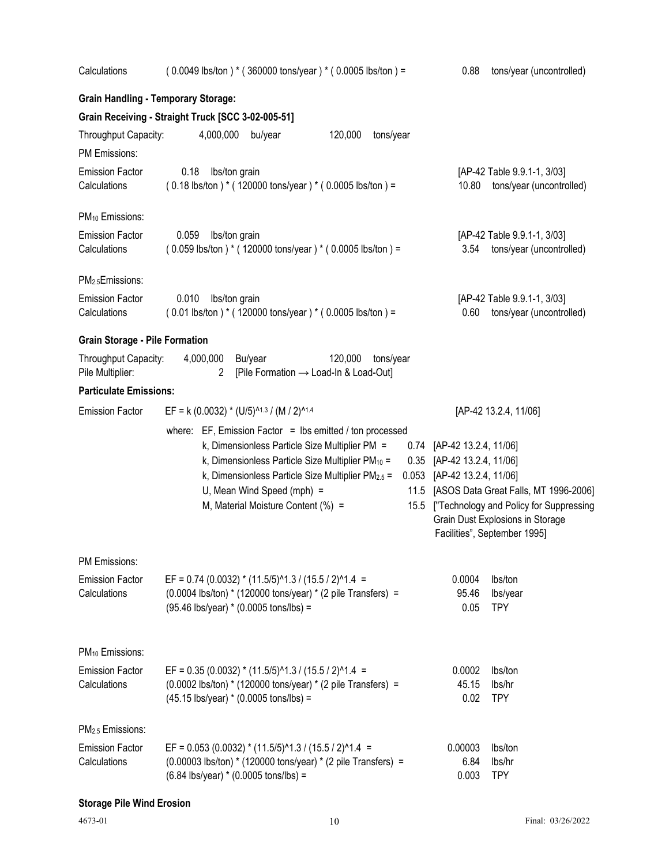| Calculations                               | $(0.0049$ lbs/ton $)$ * (360000 tons/year $)$ * (0.0005 lbs/ton $)$ =                                                                                                                                                                                                                                                        | 0.88<br>tons/year (uncontrolled)                                                                                                                                                                                                               |
|--------------------------------------------|------------------------------------------------------------------------------------------------------------------------------------------------------------------------------------------------------------------------------------------------------------------------------------------------------------------------------|------------------------------------------------------------------------------------------------------------------------------------------------------------------------------------------------------------------------------------------------|
| <b>Grain Handling - Temporary Storage:</b> |                                                                                                                                                                                                                                                                                                                              |                                                                                                                                                                                                                                                |
|                                            | Grain Receiving - Straight Truck [SCC 3-02-005-51]                                                                                                                                                                                                                                                                           |                                                                                                                                                                                                                                                |
| Throughput Capacity:<br>PM Emissions:      | 4,000,000<br>bu/year<br>120,000<br>tons/year                                                                                                                                                                                                                                                                                 |                                                                                                                                                                                                                                                |
| <b>Emission Factor</b><br>Calculations     | 0.18<br>Ibs/ton grain<br>$(0.18$ lbs/ton $)$ * (120000 tons/year $)$ * (0.0005 lbs/ton $)$ =                                                                                                                                                                                                                                 | [AP-42 Table 9.9.1-1, 3/03]<br>10.80<br>tons/year (uncontrolled)                                                                                                                                                                               |
| PM <sub>10</sub> Emissions:                |                                                                                                                                                                                                                                                                                                                              |                                                                                                                                                                                                                                                |
| <b>Emission Factor</b><br>Calculations     | 0.059<br>Ibs/ton grain<br>$(0.059$ lbs/ton $)$ * (120000 tons/year $)$ * (0.0005 lbs/ton $)$ =                                                                                                                                                                                                                               | [AP-42 Table 9.9.1-1, 3/03]<br>tons/year (uncontrolled)<br>3.54                                                                                                                                                                                |
| PM <sub>2.5</sub> Emissions:               |                                                                                                                                                                                                                                                                                                                              |                                                                                                                                                                                                                                                |
| <b>Emission Factor</b><br>Calculations     | 0.010<br>Ibs/ton grain<br>$(0.01$ lbs/ton $)$ * (120000 tons/year $)$ * (0.0005 lbs/ton $)$ =                                                                                                                                                                                                                                | [AP-42 Table 9.9.1-1, 3/03]<br>0.60 tons/year (uncontrolled)                                                                                                                                                                                   |
| <b>Grain Storage - Pile Formation</b>      |                                                                                                                                                                                                                                                                                                                              |                                                                                                                                                                                                                                                |
| Throughput Capacity:<br>Pile Multiplier:   | 4,000,000<br>Bu/year<br>120,000<br>tons/year<br>[Pile Formation → Load-In & Load-Out]<br>2                                                                                                                                                                                                                                   |                                                                                                                                                                                                                                                |
| <b>Particulate Emissions:</b>              |                                                                                                                                                                                                                                                                                                                              |                                                                                                                                                                                                                                                |
| <b>Emission Factor</b>                     | EF = k (0.0032) * (U/5)^1.3 / (M / 2)^1.4                                                                                                                                                                                                                                                                                    | [AP-42 13.2.4, 11/06]                                                                                                                                                                                                                          |
|                                            | where: EF, Emission Factor = $\text{lbs emitted }$ ton processed<br>k, Dimensionless Particle Size Multiplier PM =<br>k, Dimensionless Particle Size Multiplier PM <sub>10</sub> =<br>0.35<br>k, Dimensionless Particle Size Multiplier PM2.5 =<br>0.053<br>U, Mean Wind Speed (mph) =<br>M, Material Moisture Content (%) = | 0.74 [AP-42 13.2.4, 11/06]<br>[AP-42 13.2.4, 11/06]<br>[AP-42 13.2.4, 11/06]<br>11.5 [ASOS Data Great Falls, MT 1996-2006]<br>15.5 ["Technology and Policy for Suppressing<br>Grain Dust Explosions in Storage<br>Facilities", September 1995] |
| PM Emissions:                              |                                                                                                                                                                                                                                                                                                                              |                                                                                                                                                                                                                                                |
| <b>Emission Factor</b><br>Calculations     | EF = $0.74$ (0.0032) * (11.5/5)^1.3 / (15.5 / 2)^1.4 =<br>(0.0004 lbs/ton) * (120000 tons/year) * (2 pile Transfers) =<br>$(95.46 \text{ lbs/year}) * (0.0005 \text{ tons/lbs}) =$                                                                                                                                           | lbs/ton<br>0.0004<br>95.46<br>lbs/year<br>0.05<br><b>TPY</b>                                                                                                                                                                                   |
| PM <sub>10</sub> Emissions:                |                                                                                                                                                                                                                                                                                                                              |                                                                                                                                                                                                                                                |
| <b>Emission Factor</b><br>Calculations     | EF = $0.35(0.0032)$ * $(11.5/5)^{1.3}$ / $(15.5/2)^{1.4}$ =<br>(0.0002 lbs/ton) * (120000 tons/year) * (2 pile Transfers) =<br>$(45.15 \text{ lbs/year}) * (0.0005 \text{ tons/lbs}) =$                                                                                                                                      | 0.0002<br>Ibs/ton<br>45.15<br>lbs/hr<br>0.02<br><b>TPY</b>                                                                                                                                                                                     |
| PM <sub>2.5</sub> Emissions:               |                                                                                                                                                                                                                                                                                                                              |                                                                                                                                                                                                                                                |
| <b>Emission Factor</b><br>Calculations     | EF = $0.053$ (0.0032) * (11.5/5)^1.3 / (15.5 / 2)^1.4 =<br>(0.00003 lbs/ton) * (120000 tons/year) * (2 pile Transfers) =<br>$(6.84 \text{ lbs/year}) * (0.0005 \text{ tons/lbs}) =$                                                                                                                                          | 0.00003<br>lbs/ton<br>6.84<br>lbs/hr<br><b>TPY</b><br>0.003                                                                                                                                                                                    |

# **Storage Pile Wind Erosion**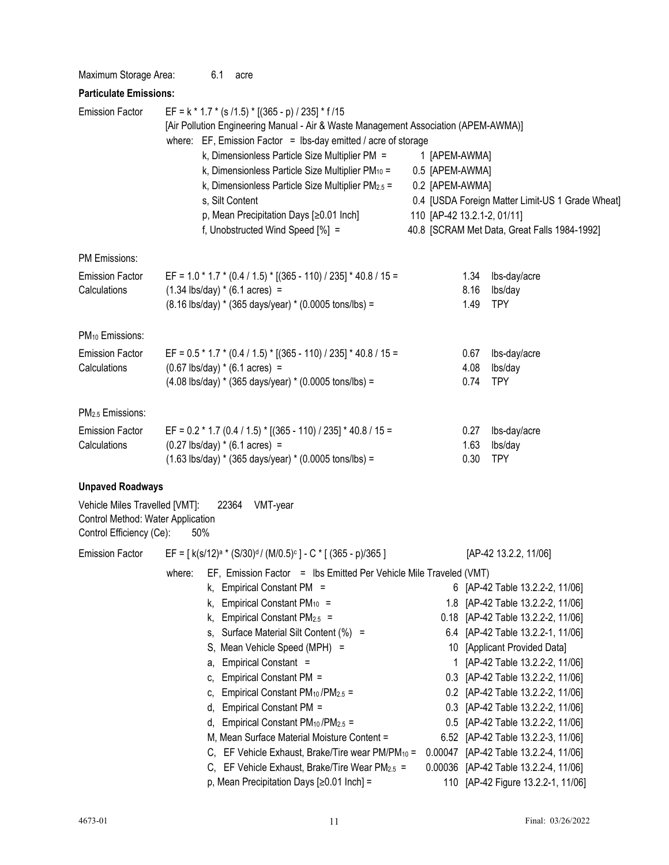| Maximum Storage Area:                                                                           | 6.1<br>acre                                                                                                                                                                                                                                                                                                                                                                                                                                                                                                                                                                                                                                                                                         |                                                                                                                                                                                                                                                                                                                                                                                                                                                                                                                                    |
|-------------------------------------------------------------------------------------------------|-----------------------------------------------------------------------------------------------------------------------------------------------------------------------------------------------------------------------------------------------------------------------------------------------------------------------------------------------------------------------------------------------------------------------------------------------------------------------------------------------------------------------------------------------------------------------------------------------------------------------------------------------------------------------------------------------------|------------------------------------------------------------------------------------------------------------------------------------------------------------------------------------------------------------------------------------------------------------------------------------------------------------------------------------------------------------------------------------------------------------------------------------------------------------------------------------------------------------------------------------|
| <b>Particulate Emissions:</b>                                                                   |                                                                                                                                                                                                                                                                                                                                                                                                                                                                                                                                                                                                                                                                                                     |                                                                                                                                                                                                                                                                                                                                                                                                                                                                                                                                    |
| <b>Emission Factor</b>                                                                          | EF = $k * 1.7 * (s / 1.5) * [(365 - p) / 235] * f / 15$<br>[Air Pollution Engineering Manual - Air & Waste Management Association (APEM-AWMA)]<br>where: EF, Emission Factor = lbs-day emitted / acre of storage<br>k, Dimensionless Particle Size Multiplier PM =<br>k, Dimensionless Particle Size Multiplier PM <sub>10</sub> =<br>k, Dimensionless Particle Size Multiplier PM2.5 =<br>s, Silt Content<br>p, Mean Precipitation Days [≥0.01 Inch]<br>f, Unobstructed Wind Speed [%] =                                                                                                                                                                                                           | 1 [APEM-AWMA]<br>0.5 [APEM-AWMA]<br>0.2 [APEM-AWMA]<br>0.4 [USDA Foreign Matter Limit-US 1 Grade Wheat]<br>110 [AP-42 13.2.1-2, 01/11]<br>40.8 [SCRAM Met Data, Great Falls 1984-1992]                                                                                                                                                                                                                                                                                                                                             |
| PM Emissions:                                                                                   |                                                                                                                                                                                                                                                                                                                                                                                                                                                                                                                                                                                                                                                                                                     |                                                                                                                                                                                                                                                                                                                                                                                                                                                                                                                                    |
| <b>Emission Factor</b><br>Calculations                                                          | EF = $1.0 * 1.7 * (0.4 / 1.5) * [(365 - 110) / 235] * 40.8 / 15 =$<br>$(1.34 \text{ lbs/day}) * (6.1 \text{ acres}) =$<br>(8.16 lbs/day) * (365 days/year) * (0.0005 tons/lbs) =                                                                                                                                                                                                                                                                                                                                                                                                                                                                                                                    | 1.34<br>lbs-day/acre<br>8.16<br>lbs/day<br>1.49<br><b>TPY</b>                                                                                                                                                                                                                                                                                                                                                                                                                                                                      |
| PM <sub>10</sub> Emissions:                                                                     |                                                                                                                                                                                                                                                                                                                                                                                                                                                                                                                                                                                                                                                                                                     |                                                                                                                                                                                                                                                                                                                                                                                                                                                                                                                                    |
| <b>Emission Factor</b><br>Calculations                                                          | EF = $0.5 * 1.7 * (0.4 / 1.5) * [(365 - 110) / 235] * 40.8 / 15 =$<br>$(0.67 \text{ lbs/day}) * (6.1 \text{ acres}) =$<br>$(4.08 \text{ lbs/day}) * (365 \text{ days/year}) * (0.0005 \text{ tons/lbs}) =$                                                                                                                                                                                                                                                                                                                                                                                                                                                                                          | lbs-day/acre<br>0.67<br>4.08<br>lbs/day<br>0.74<br><b>TPY</b>                                                                                                                                                                                                                                                                                                                                                                                                                                                                      |
| PM <sub>2.5</sub> Emissions:                                                                    |                                                                                                                                                                                                                                                                                                                                                                                                                                                                                                                                                                                                                                                                                                     |                                                                                                                                                                                                                                                                                                                                                                                                                                                                                                                                    |
| <b>Emission Factor</b><br>Calculations                                                          | EF = $0.2 * 1.7 (0.4 / 1.5) * [(365 - 110) / 235] * 40.8 / 15 =$<br>$(0.27 \text{ lbs/day}) * (6.1 \text{ acres}) =$<br>$(1.63$ lbs/day) * (365 days/year) * (0.0005 tons/lbs) =                                                                                                                                                                                                                                                                                                                                                                                                                                                                                                                    | 0.27<br>lbs-day/acre<br>1.63<br>lbs/day<br>0.30<br><b>TPY</b>                                                                                                                                                                                                                                                                                                                                                                                                                                                                      |
| <b>Unpaved Roadways</b>                                                                         |                                                                                                                                                                                                                                                                                                                                                                                                                                                                                                                                                                                                                                                                                                     |                                                                                                                                                                                                                                                                                                                                                                                                                                                                                                                                    |
| Vehicle Miles Travelled [VMT]:<br>Control Method: Water Application<br>Control Efficiency (Ce): | 22364<br>VMT-year<br>50%                                                                                                                                                                                                                                                                                                                                                                                                                                                                                                                                                                                                                                                                            |                                                                                                                                                                                                                                                                                                                                                                                                                                                                                                                                    |
|                                                                                                 | Emission Factor EF = [ $k(s/12)^a * (S/30)^d / (M/0.5)^c$ ] - C $*(365 - p)/365$ ]                                                                                                                                                                                                                                                                                                                                                                                                                                                                                                                                                                                                                  | [AP-42 13.2.2, 11/06]                                                                                                                                                                                                                                                                                                                                                                                                                                                                                                              |
|                                                                                                 | EF, Emission Factor = Ibs Emitted Per Vehicle Mile Traveled (VMT)<br>where:<br>k, Empirical Constant PM =<br>k, Empirical Constant $PM_{10}$ =<br>Empirical Constant $PM_{2.5}$ =<br>k.<br>Surface Material Silt Content (%) =<br>S.<br>S, Mean Vehicle Speed (MPH) =<br>Empirical Constant =<br>а,<br>Empirical Constant PM =<br>C.<br>Empirical Constant $PM_{10}$ /PM <sub>2.5</sub> =<br>C.<br>Empirical Constant PM =<br>d.<br>d, Empirical Constant $PM_{10}/PM_{2.5}$ =<br>M, Mean Surface Material Moisture Content =<br>C, EF Vehicle Exhaust, Brake/Tire wear PM/PM <sub>10</sub> =<br>C, EF Vehicle Exhaust, Brake/Tire Wear $PM_{2.5}$ =<br>p, Mean Precipitation Days $[≥0.01$ Inch] = | 6 [AP-42 Table 13.2.2-2, 11/06]<br>1.8 [AP-42 Table 13.2.2-2, 11/06]<br>0.18 [AP-42 Table 13.2.2-2, 11/06]<br>6.4 [AP-42 Table 13.2.2-1, 11/06]<br>10 [Applicant Provided Data]<br>[AP-42 Table 13.2.2-2, 11/06]<br>0.3 [AP-42 Table 13.2.2-2, 11/06]<br>0.2 [AP-42 Table 13.2.2-2, 11/06]<br>0.3 [AP-42 Table 13.2.2-2, 11/06]<br>0.5 [AP-42 Table 13.2.2-2, 11/06]<br>6.52 [AP-42 Table 13.2.2-3, 11/06]<br>0.00047 [AP-42 Table 13.2.2-4, 11/06]<br>0.00036 [AP-42 Table 13.2.2-4, 11/06]<br>110 [AP-42 Figure 13.2.2-1, 11/06] |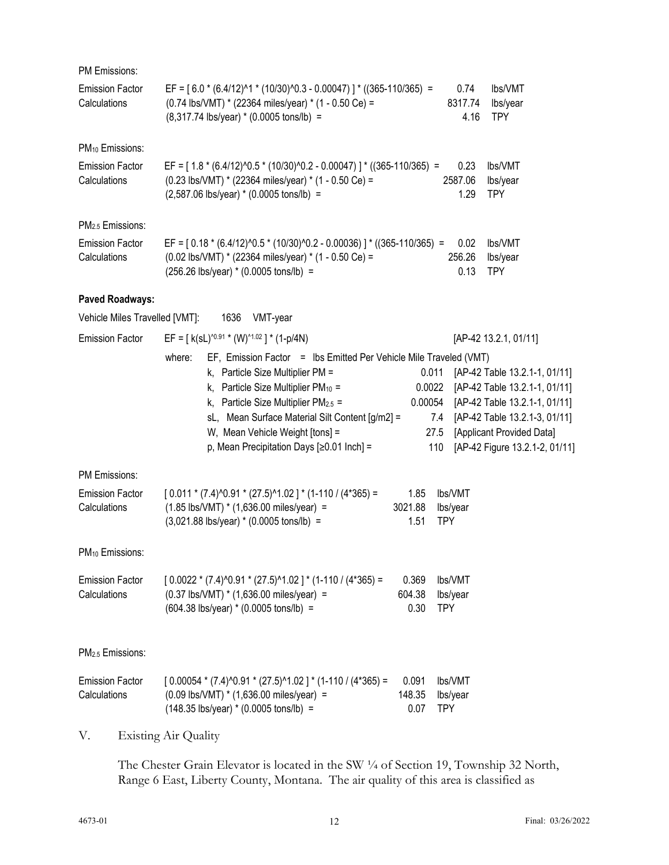| PM Emissions:                          |                                                                                                                                                                                                                                                                                                                                                                                                                                                                                                                                                                                                 |
|----------------------------------------|-------------------------------------------------------------------------------------------------------------------------------------------------------------------------------------------------------------------------------------------------------------------------------------------------------------------------------------------------------------------------------------------------------------------------------------------------------------------------------------------------------------------------------------------------------------------------------------------------|
| <b>Emission Factor</b><br>Calculations | EF = $[6.0 * (6.4/12)^{1} * (10/30)^{0}.3 - 0.00047]$ * ((365-110/365) =<br>0.74<br>lbs/VMT<br>(0.74 lbs/VMT) * (22364 miles/year) * (1 - 0.50 Ce) =<br>8317.74<br>lbs/year<br>(8,317.74 lbs/year) * (0.0005 tons/lb) =<br><b>TPY</b><br>4.16                                                                                                                                                                                                                                                                                                                                                   |
| PM <sub>10</sub> Emissions:            |                                                                                                                                                                                                                                                                                                                                                                                                                                                                                                                                                                                                 |
| <b>Emission Factor</b><br>Calculations | EF = $[1.8 * (6.4/12)^0.5 * (10/30)^0.2 - 0.00047]$ * ((365-110/365) =<br>0.23<br>lbs/VMT<br>(0.23 lbs/VMT) * (22364 miles/year) * (1 - 0.50 Ce) =<br>2587.06<br>lbs/year<br>$(2,587.06$ lbs/year) * $(0.0005$ tons/lb) =<br><b>TPY</b><br>1.29                                                                                                                                                                                                                                                                                                                                                 |
| PM <sub>2.5</sub> Emissions:           |                                                                                                                                                                                                                                                                                                                                                                                                                                                                                                                                                                                                 |
| <b>Emission Factor</b><br>Calculations | EF = $[0.18 * (6.4/12)^0.5 * (10/30)^0.2 - 0.00036)] * ((365-110/365) =$<br>0.02<br>lbs/VMT<br>$(0.02$ lbs/VMT) * (22364 miles/year) * (1 - 0.50 Ce) =<br>256.26<br>lbs/year<br>$(256.26 \text{ lbs/year}) * (0.0005 \text{ tons/lb}) =$<br>0.13<br><b>TPY</b>                                                                                                                                                                                                                                                                                                                                  |
| <b>Paved Roadways:</b>                 |                                                                                                                                                                                                                                                                                                                                                                                                                                                                                                                                                                                                 |
| Vehicle Miles Travelled [VMT]:         | 1636<br>VMT-year                                                                                                                                                                                                                                                                                                                                                                                                                                                                                                                                                                                |
| <b>Emission Factor</b>                 | EF = [k(sL)^0.91 * (W)^1.02 ] * (1-p/4N)<br>[AP-42 13.2.1, 01/11]                                                                                                                                                                                                                                                                                                                                                                                                                                                                                                                               |
|                                        | where:<br>EF, Emission Factor = Ibs Emitted Per Vehicle Mile Traveled (VMT)<br>k, Particle Size Multiplier PM =<br>0.011<br>[AP-42 Table 13.2.1-1, 01/11]<br>k, Particle Size Multiplier PM $_{10}$ =<br>0.0022 [AP-42 Table 13.2.1-1, 01/11]<br>k, Particle Size Multiplier PM $_{2.5}$ =<br>0.00054<br>[AP-42 Table 13.2.1-1, 01/11]<br>sL, Mean Surface Material Silt Content [g/m2] =<br>[AP-42 Table 13.2.1-3, 01/11]<br>7.4<br>W, Mean Vehicle Weight [tons] =<br>[Applicant Provided Data]<br>27.5<br>p, Mean Precipitation Days [≥0.01 Inch] =<br>110<br>[AP-42 Figure 13.2.1-2, 01/11] |
| PM Emissions:                          |                                                                                                                                                                                                                                                                                                                                                                                                                                                                                                                                                                                                 |
| <b>Emission Factor</b><br>Calculations | $[0.011 * (7.4)^0.91 * (27.5)^1.02] * (1.110 / (4*365) =$<br>1.85<br>lbs/VMT<br>$(1.85$ lbs/VMT) * $(1,636.00$ miles/year) =<br>3021.88<br>lbs/year<br>$(3,021.88$ lbs/year) * $(0.0005$ tons/lb) =<br>1.51<br><b>TPY</b>                                                                                                                                                                                                                                                                                                                                                                       |
| PM <sub>10</sub> Emissions:            |                                                                                                                                                                                                                                                                                                                                                                                                                                                                                                                                                                                                 |
| <b>Emission Factor</b><br>Calculations | $[0.0022 * (7.4)^0.91 * (27.5)^0.02] * (1.110 / (4*365) =$<br>0.369<br>lbs/VMT<br>$(0.37$ lbs/VMT) * $(1,636.00$ miles/year) =<br>604.38<br>lbs/year<br>(604.38 lbs/year) * (0.0005 tons/lb) =<br>0.30<br><b>TPY</b>                                                                                                                                                                                                                                                                                                                                                                            |
| PM <sub>2.5</sub> Emissions:           |                                                                                                                                                                                                                                                                                                                                                                                                                                                                                                                                                                                                 |
| <b>Emission Factor</b><br>Calculations | $[0.00054 * (7.4)^{0.91} * (27.5)^{0.1.02}] * (1.110 / (4*365)) =$<br>lbs/VMT<br>0.091<br>$(0.09$ lbs/VMT) * $(1,636.00$ miles/year) =<br>148.35<br>lbs/year<br>$(148.35$ lbs/year) * $(0.0005$ tons/lb) =<br>0.07<br><b>TPY</b>                                                                                                                                                                                                                                                                                                                                                                |

V. Existing Air Quality

The Chester Grain Elevator is located in the SW ¼ of Section 19, Township 32 North, Range 6 East, Liberty County, Montana. The air quality of this area is classified as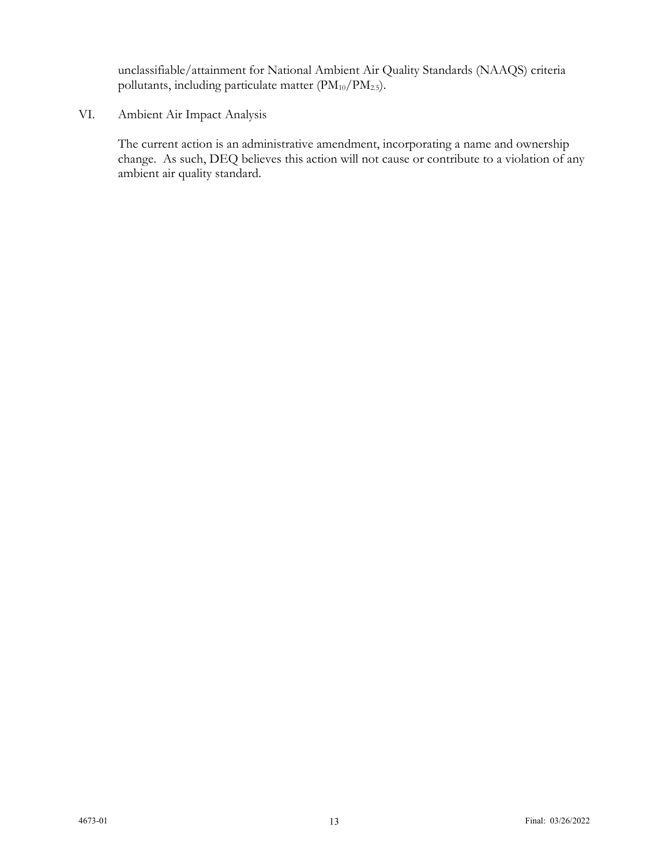unclassifiable/attainment for National Ambient Air Quality Standards (NAAQS) criteria pollutants, including particulate matter (PM<sub>10</sub>/PM<sub>2.5</sub>).

VI. Ambient Air Impact Analysis

The current action is an administrative amendment, incorporating a name and ownership change. As such, DEQ believes this action will not cause or contribute to a violation of any ambient air quality standard.